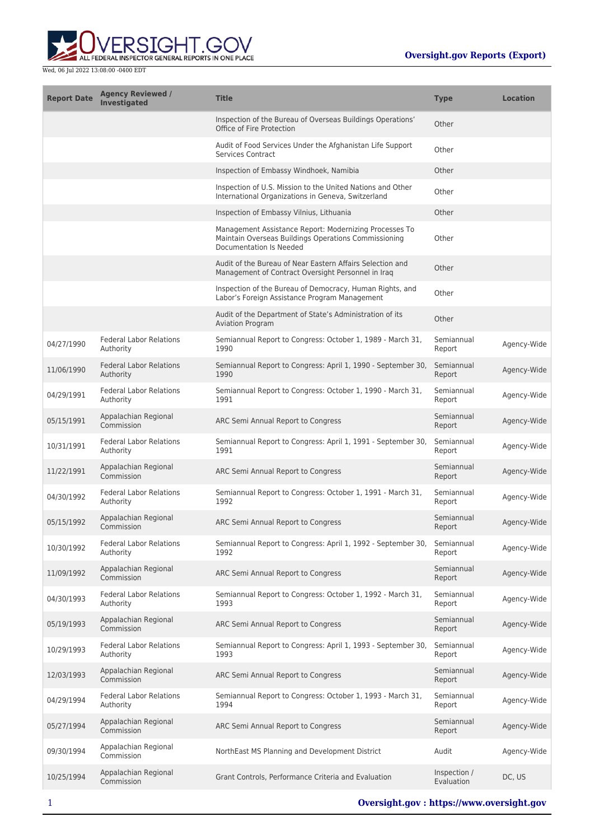

| <b>Report Date</b> | <b>Agency Reviewed /</b><br><b>Investigated</b> | <b>Title</b>                                                                                                                              | <b>Type</b>                | <b>Location</b> |
|--------------------|-------------------------------------------------|-------------------------------------------------------------------------------------------------------------------------------------------|----------------------------|-----------------|
|                    |                                                 | Inspection of the Bureau of Overseas Buildings Operations'<br>Office of Fire Protection                                                   | Other                      |                 |
|                    |                                                 | Audit of Food Services Under the Afghanistan Life Support<br><b>Services Contract</b>                                                     | Other                      |                 |
|                    |                                                 | Inspection of Embassy Windhoek, Namibia                                                                                                   | Other                      |                 |
|                    |                                                 | Inspection of U.S. Mission to the United Nations and Other<br>International Organizations in Geneva, Switzerland                          | Other                      |                 |
|                    |                                                 | Inspection of Embassy Vilnius, Lithuania                                                                                                  | Other                      |                 |
|                    |                                                 | Management Assistance Report: Modernizing Processes To<br>Maintain Overseas Buildings Operations Commissioning<br>Documentation Is Needed | Other                      |                 |
|                    |                                                 | Audit of the Bureau of Near Eastern Affairs Selection and<br>Management of Contract Oversight Personnel in Iraq                           | Other                      |                 |
|                    |                                                 | Inspection of the Bureau of Democracy, Human Rights, and<br>Labor's Foreign Assistance Program Management                                 | Other                      |                 |
|                    |                                                 | Audit of the Department of State's Administration of its<br><b>Aviation Program</b>                                                       | Other                      |                 |
| 04/27/1990         | <b>Federal Labor Relations</b><br>Authority     | Semiannual Report to Congress: October 1, 1989 - March 31,<br>1990                                                                        | Semiannual<br>Report       | Agency-Wide     |
| 11/06/1990         | <b>Federal Labor Relations</b><br>Authority     | Semiannual Report to Congress: April 1, 1990 - September 30,<br>1990                                                                      | Semiannual<br>Report       | Agency-Wide     |
| 04/29/1991         | <b>Federal Labor Relations</b><br>Authority     | Semiannual Report to Congress: October 1, 1990 - March 31,<br>1991                                                                        | Semiannual<br>Report       | Agency-Wide     |
| 05/15/1991         | Appalachian Regional<br>Commission              | ARC Semi Annual Report to Congress                                                                                                        | Semiannual<br>Report       | Agency-Wide     |
| 10/31/1991         | <b>Federal Labor Relations</b><br>Authority     | Semiannual Report to Congress: April 1, 1991 - September 30,<br>1991                                                                      | Semiannual<br>Report       | Agency-Wide     |
| 11/22/1991         | Appalachian Regional<br>Commission              | ARC Semi Annual Report to Congress                                                                                                        | Semiannual<br>Report       | Agency-Wide     |
| 04/30/1992         | <b>Federal Labor Relations</b><br>Authority     | Semiannual Report to Congress: October 1, 1991 - March 31,<br>1992                                                                        | Semiannual<br>Report       | Agency-Wide     |
| 05/15/1992         | Appalachian Regional<br>Commission              | ARC Semi Annual Report to Congress                                                                                                        | Semiannual<br>Report       | Agency-Wide     |
| 10/30/1992         | <b>Federal Labor Relations</b><br>Authority     | Semiannual Report to Congress: April 1, 1992 - September 30,<br>1992                                                                      | Semiannual<br>Report       | Agency-Wide     |
| 11/09/1992         | Appalachian Regional<br>Commission              | ARC Semi Annual Report to Congress                                                                                                        | Semiannual<br>Report       | Agency-Wide     |
| 04/30/1993         | <b>Federal Labor Relations</b><br>Authority     | Semiannual Report to Congress: October 1, 1992 - March 31,<br>1993                                                                        | Semiannual<br>Report       | Agency-Wide     |
| 05/19/1993         | Appalachian Regional<br>Commission              | ARC Semi Annual Report to Congress                                                                                                        | Semiannual<br>Report       | Agency-Wide     |
| 10/29/1993         | <b>Federal Labor Relations</b><br>Authority     | Semiannual Report to Congress: April 1, 1993 - September 30,<br>1993                                                                      | Semiannual<br>Report       | Agency-Wide     |
| 12/03/1993         | Appalachian Regional<br>Commission              | ARC Semi Annual Report to Congress                                                                                                        | Semiannual<br>Report       | Agency-Wide     |
| 04/29/1994         | <b>Federal Labor Relations</b><br>Authority     | Semiannual Report to Congress: October 1, 1993 - March 31,<br>1994                                                                        | Semiannual<br>Report       | Agency-Wide     |
| 05/27/1994         | Appalachian Regional<br>Commission              | ARC Semi Annual Report to Congress                                                                                                        | Semiannual<br>Report       | Agency-Wide     |
| 09/30/1994         | Appalachian Regional<br>Commission              | NorthEast MS Planning and Development District                                                                                            | Audit                      | Agency-Wide     |
| 10/25/1994         | Appalachian Regional<br>Commission              | Grant Controls, Performance Criteria and Evaluation                                                                                       | Inspection /<br>Evaluation | DC, US          |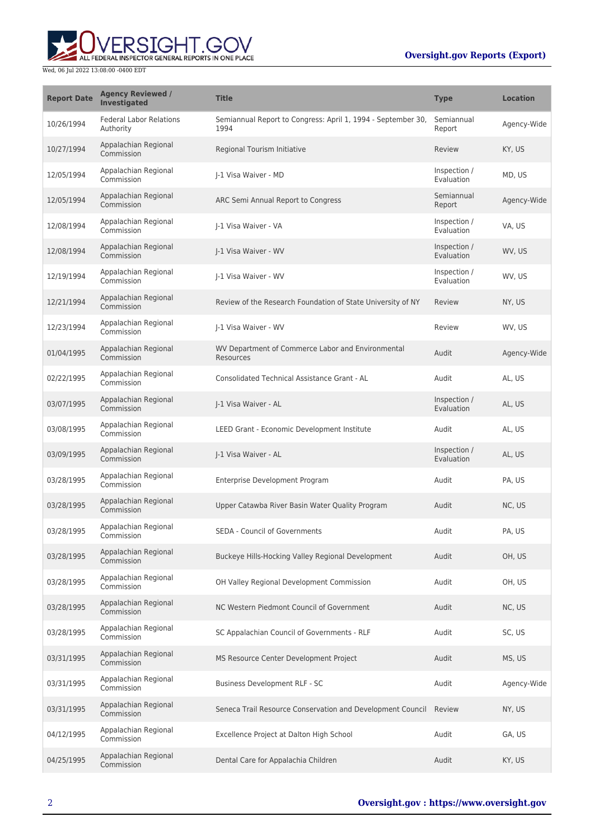## **Oversight.gov Reports (Export)**



| <b>Report Date</b> | <b>Agency Reviewed /</b><br>Investigated    | <b>Title</b>                                                         | <b>Type</b>                | <b>Location</b> |
|--------------------|---------------------------------------------|----------------------------------------------------------------------|----------------------------|-----------------|
| 10/26/1994         | <b>Federal Labor Relations</b><br>Authority | Semiannual Report to Congress: April 1, 1994 - September 30,<br>1994 | Semiannual<br>Report       | Agency-Wide     |
| 10/27/1994         | Appalachian Regional<br>Commission          | Regional Tourism Initiative                                          | Review                     | KY, US          |
| 12/05/1994         | Appalachian Regional<br>Commission          | I-1 Visa Waiver - MD                                                 | Inspection /<br>Evaluation | MD, US          |
| 12/05/1994         | Appalachian Regional<br>Commission          | ARC Semi Annual Report to Congress                                   | Semiannual<br>Report       | Agency-Wide     |
| 12/08/1994         | Appalachian Regional<br>Commission          | J-1 Visa Waiver - VA                                                 | Inspection /<br>Evaluation | VA, US          |
| 12/08/1994         | Appalachian Regional<br>Commission          | J-1 Visa Waiver - WV                                                 | Inspection /<br>Evaluation | WV, US          |
| 12/19/1994         | Appalachian Regional<br>Commission          | I-1 Visa Waiver - WV                                                 | Inspection /<br>Evaluation | WV, US          |
| 12/21/1994         | Appalachian Regional<br>Commission          | Review of the Research Foundation of State University of NY          | Review                     | NY, US          |
| 12/23/1994         | Appalachian Regional<br>Commission          | J-1 Visa Waiver - WV                                                 | Review                     | WV, US          |
| 01/04/1995         | Appalachian Regional<br>Commission          | WV Department of Commerce Labor and Environmental<br>Resources       | Audit                      | Agency-Wide     |
| 02/22/1995         | Appalachian Regional<br>Commission          | Consolidated Technical Assistance Grant - AL                         | Audit                      | AL, US          |
| 03/07/1995         | Appalachian Regional<br>Commission          | J-1 Visa Waiver - AL                                                 | Inspection /<br>Evaluation | AL, US          |
| 03/08/1995         | Appalachian Regional<br>Commission          | LEED Grant - Economic Development Institute                          | Audit                      | AL, US          |
| 03/09/1995         | Appalachian Regional<br>Commission          | J-1 Visa Waiver - AL                                                 | Inspection /<br>Evaluation | AL, US          |
| 03/28/1995         | Appalachian Regional<br>Commission          | Enterprise Development Program                                       | Audit                      | PA, US          |
| 03/28/1995         | Appalachian Regional<br>Commission          | Upper Catawba River Basin Water Quality Program                      | Audit                      | NC, US          |
| 03/28/1995         | Appalachian Regional<br>Commission          | <b>SEDA - Council of Governments</b>                                 | Audit                      | PA, US          |
| 03/28/1995         | Appalachian Regional<br>Commission          | Buckeye Hills-Hocking Valley Regional Development                    | Audit                      | OH, US          |
| 03/28/1995         | Appalachian Regional<br>Commission          | OH Valley Regional Development Commission                            | Audit                      | OH, US          |
| 03/28/1995         | Appalachian Regional<br>Commission          | NC Western Piedmont Council of Government                            | Audit                      | NC, US          |
| 03/28/1995         | Appalachian Regional<br>Commission          | SC Appalachian Council of Governments - RLF                          | Audit                      | SC, US          |
| 03/31/1995         | Appalachian Regional<br>Commission          | MS Resource Center Development Project                               | Audit                      | MS, US          |
| 03/31/1995         | Appalachian Regional<br>Commission          | Business Development RLF - SC                                        | Audit                      | Agency-Wide     |
| 03/31/1995         | Appalachian Regional<br>Commission          | Seneca Trail Resource Conservation and Development Council Review    |                            | NY, US          |
| 04/12/1995         | Appalachian Regional<br>Commission          | Excellence Project at Dalton High School                             | Audit                      | GA, US          |
| 04/25/1995         | Appalachian Regional<br>Commission          | Dental Care for Appalachia Children                                  | Audit                      | KY, US          |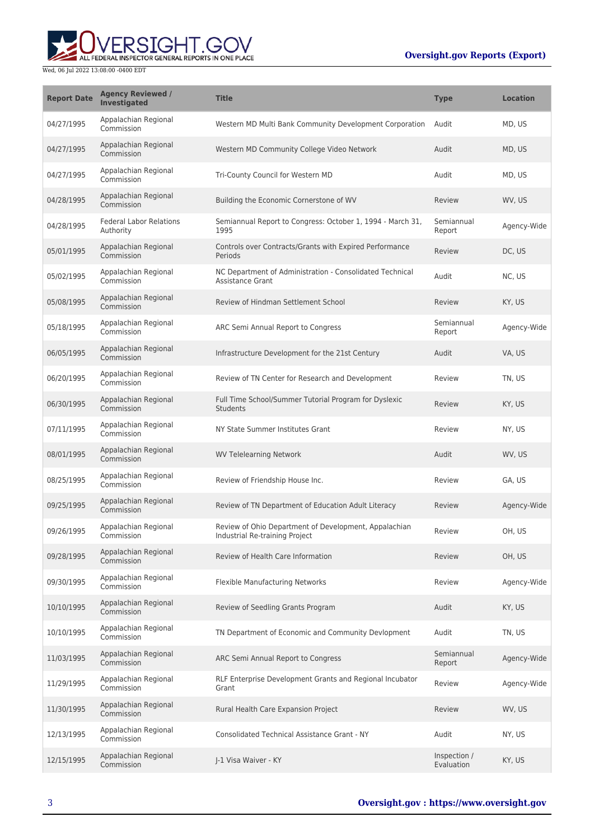## **Oversight.gov Reports (Export)**



| <b>Report Date</b> | <b>Agency Reviewed /</b><br><b>Investigated</b> | <b>Title</b>                                                                            | <b>Type</b>                | <b>Location</b> |
|--------------------|-------------------------------------------------|-----------------------------------------------------------------------------------------|----------------------------|-----------------|
| 04/27/1995         | Appalachian Regional<br>Commission              | Western MD Multi Bank Community Development Corporation                                 | Audit                      | MD, US          |
| 04/27/1995         | Appalachian Regional<br>Commission              | Western MD Community College Video Network                                              | Audit                      | MD, US          |
| 04/27/1995         | Appalachian Regional<br>Commission              | Tri-County Council for Western MD                                                       | Audit                      | MD, US          |
| 04/28/1995         | Appalachian Regional<br>Commission              | Building the Economic Cornerstone of WV                                                 | Review                     | WV, US          |
| 04/28/1995         | <b>Federal Labor Relations</b><br>Authority     | Semiannual Report to Congress: October 1, 1994 - March 31,<br>1995                      | Semiannual<br>Report       | Agency-Wide     |
| 05/01/1995         | Appalachian Regional<br>Commission              | Controls over Contracts/Grants with Expired Performance<br>Periods                      | Review                     | DC, US          |
| 05/02/1995         | Appalachian Regional<br>Commission              | NC Department of Administration - Consolidated Technical<br><b>Assistance Grant</b>     | Audit                      | NC, US          |
| 05/08/1995         | Appalachian Regional<br>Commission              | Review of Hindman Settlement School                                                     | Review                     | KY, US          |
| 05/18/1995         | Appalachian Regional<br>Commission              | ARC Semi Annual Report to Congress                                                      | Semiannual<br>Report       | Agency-Wide     |
| 06/05/1995         | Appalachian Regional<br>Commission              | Infrastructure Development for the 21st Century                                         | Audit                      | VA, US          |
| 06/20/1995         | Appalachian Regional<br>Commission              | Review of TN Center for Research and Development                                        | Review                     | TN, US          |
| 06/30/1995         | Appalachian Regional<br>Commission              | Full Time School/Summer Tutorial Program for Dyslexic<br><b>Students</b>                | Review                     | KY, US          |
| 07/11/1995         | Appalachian Regional<br>Commission              | NY State Summer Institutes Grant                                                        | Review                     | NY, US          |
| 08/01/1995         | Appalachian Regional<br>Commission              | <b>WV Telelearning Network</b>                                                          | Audit                      | WV, US          |
| 08/25/1995         | Appalachian Regional<br>Commission              | Review of Friendship House Inc.                                                         | Review                     | GA, US          |
| 09/25/1995         | Appalachian Regional<br>Commission              | Review of TN Department of Education Adult Literacy                                     | Review                     | Agency-Wide     |
| 09/26/1995         | Appalachian Regional<br>Commission              | Review of Ohio Department of Development, Appalachian<br>Industrial Re-training Project | Review                     | OH, US          |
| 09/28/1995         | Appalachian Regional<br>Commission              | Review of Health Care Information                                                       | Review                     | OH, US          |
| 09/30/1995         | Appalachian Regional<br>Commission              | Flexible Manufacturing Networks                                                         | Review                     | Agency-Wide     |
| 10/10/1995         | Appalachian Regional<br>Commission              | Review of Seedling Grants Program                                                       | Audit                      | KY, US          |
| 10/10/1995         | Appalachian Regional<br>Commission              | TN Department of Economic and Community Devlopment                                      | Audit                      | TN, US          |
| 11/03/1995         | Appalachian Regional<br>Commission              | ARC Semi Annual Report to Congress                                                      | Semiannual<br>Report       | Agency-Wide     |
| 11/29/1995         | Appalachian Regional<br>Commission              | RLF Enterprise Development Grants and Regional Incubator<br>Grant                       | Review                     | Agency-Wide     |
| 11/30/1995         | Appalachian Regional<br>Commission              | Rural Health Care Expansion Project                                                     | Review                     | WV, US          |
| 12/13/1995         | Appalachian Regional<br>Commission              | <b>Consolidated Technical Assistance Grant - NY</b>                                     | Audit                      | NY, US          |
| 12/15/1995         | Appalachian Regional<br>Commission              | J-1 Visa Waiver - KY                                                                    | Inspection /<br>Evaluation | KY, US          |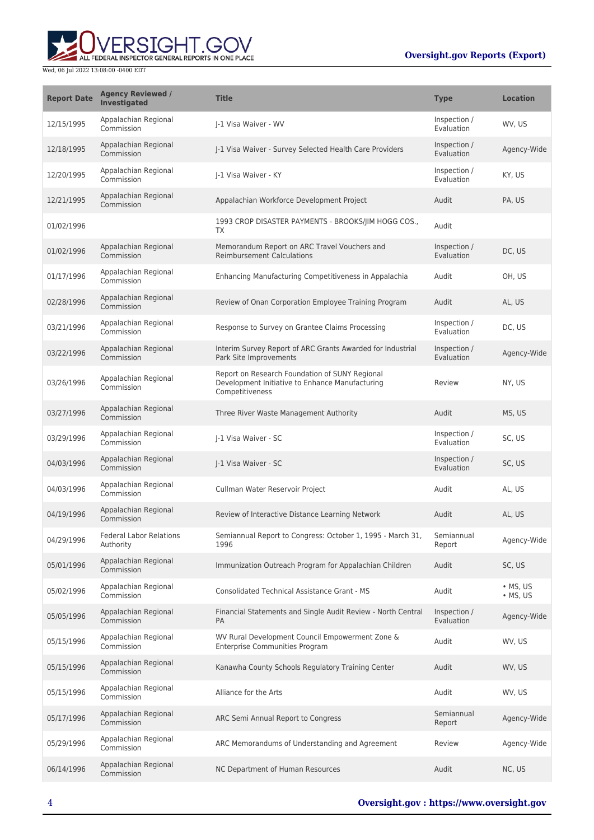

| <b>Report Date</b> | <b>Agency Reviewed /</b><br><b>Investigated</b> | <b>Title</b>                                                                                                         | <b>Type</b>                | <b>Location</b>                    |
|--------------------|-------------------------------------------------|----------------------------------------------------------------------------------------------------------------------|----------------------------|------------------------------------|
| 12/15/1995         | Appalachian Regional<br>Commission              | I-1 Visa Waiver - WV                                                                                                 | Inspection /<br>Evaluation | WV, US                             |
| 12/18/1995         | Appalachian Regional<br>Commission              | J-1 Visa Waiver - Survey Selected Health Care Providers                                                              | Inspection /<br>Evaluation | Agency-Wide                        |
| 12/20/1995         | Appalachian Regional<br>Commission              | I-1 Visa Waiver - KY                                                                                                 | Inspection /<br>Evaluation | KY, US                             |
| 12/21/1995         | Appalachian Regional<br>Commission              | Appalachian Workforce Development Project                                                                            | Audit                      | PA, US                             |
| 01/02/1996         |                                                 | 1993 CROP DISASTER PAYMENTS - BROOKS/IIM HOGG COS.,<br>TX                                                            | Audit                      |                                    |
| 01/02/1996         | Appalachian Regional<br>Commission              | Memorandum Report on ARC Travel Vouchers and<br><b>Reimbursement Calculations</b>                                    | Inspection /<br>Evaluation | DC, US                             |
| 01/17/1996         | Appalachian Regional<br>Commission              | Enhancing Manufacturing Competitiveness in Appalachia                                                                | Audit                      | OH, US                             |
| 02/28/1996         | Appalachian Regional<br>Commission              | Review of Onan Corporation Employee Training Program                                                                 | Audit                      | AL, US                             |
| 03/21/1996         | Appalachian Regional<br>Commission              | Response to Survey on Grantee Claims Processing                                                                      | Inspection /<br>Evaluation | DC, US                             |
| 03/22/1996         | Appalachian Regional<br>Commission              | Interim Survey Report of ARC Grants Awarded for Industrial<br>Park Site Improvements                                 | Inspection /<br>Evaluation | Agency-Wide                        |
| 03/26/1996         | Appalachian Regional<br>Commission              | Report on Research Foundation of SUNY Regional<br>Development Initiative to Enhance Manufacturing<br>Competitiveness | Review                     | NY, US                             |
| 03/27/1996         | Appalachian Regional<br>Commission              | Three River Waste Management Authority                                                                               | Audit                      | MS, US                             |
| 03/29/1996         | Appalachian Regional<br>Commission              | I-1 Visa Waiver - SC                                                                                                 | Inspection /<br>Evaluation | SC, US                             |
| 04/03/1996         | Appalachian Regional<br>Commission              | J-1 Visa Waiver - SC                                                                                                 | Inspection /<br>Evaluation | SC, US                             |
| 04/03/1996         | Appalachian Regional<br>Commission              | Cullman Water Reservoir Project                                                                                      | Audit                      | AL, US                             |
| 04/19/1996         | Appalachian Regional<br>Commission              | Review of Interactive Distance Learning Network                                                                      | Audit                      | AL, US                             |
| 04/29/1996         | <b>Federal Labor Relations</b><br>Authority     | Semiannual Report to Congress: October 1, 1995 - March 31,<br>1996                                                   | Semiannual<br>Report       | Agency-Wide                        |
| 05/01/1996         | Appalachian Regional<br>Commission              | Immunization Outreach Program for Appalachian Children                                                               | Audit                      | SC, US                             |
| 05/02/1996         | Appalachian Regional<br>Commission              | <b>Consolidated Technical Assistance Grant - MS</b>                                                                  | Audit                      | $\cdot$ MS, US<br>$\bullet$ MS, US |
| 05/05/1996         | Appalachian Regional<br>Commission              | Financial Statements and Single Audit Review - North Central<br><b>PA</b>                                            | Inspection /<br>Evaluation | Agency-Wide                        |
| 05/15/1996         | Appalachian Regional<br>Commission              | WV Rural Development Council Empowerment Zone &<br><b>Enterprise Communities Program</b>                             | Audit                      | WV, US                             |
| 05/15/1996         | Appalachian Regional<br>Commission              | Kanawha County Schools Regulatory Training Center                                                                    | Audit                      | WV, US                             |
| 05/15/1996         | Appalachian Regional<br>Commission              | Alliance for the Arts                                                                                                | Audit                      | WV, US                             |
| 05/17/1996         | Appalachian Regional<br>Commission              | ARC Semi Annual Report to Congress                                                                                   | Semiannual<br>Report       | Agency-Wide                        |
| 05/29/1996         | Appalachian Regional<br>Commission              | ARC Memorandums of Understanding and Agreement                                                                       | Review                     | Agency-Wide                        |
| 06/14/1996         | Appalachian Regional<br>Commission              | NC Department of Human Resources                                                                                     | Audit                      | NC, US                             |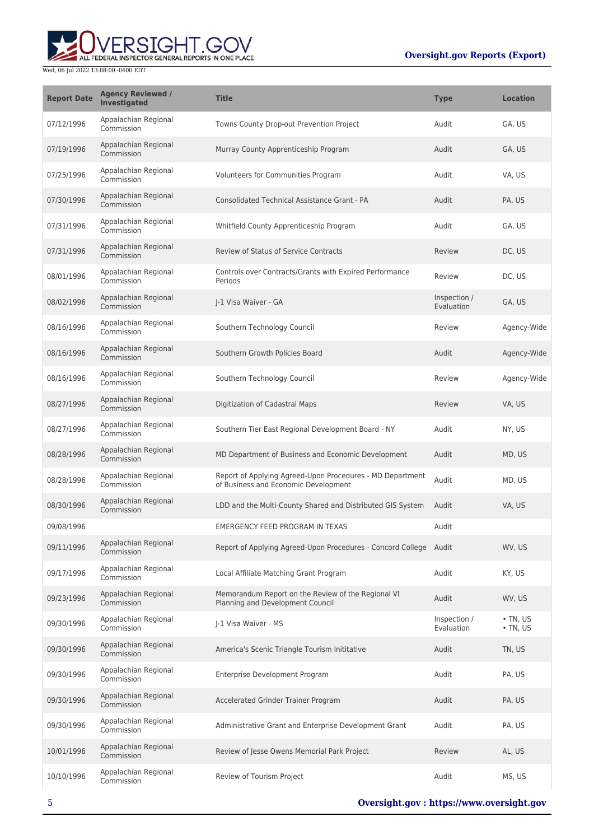

| <b>Report Date</b> | <b>Agency Reviewed /</b><br>Investigated | <b>Title</b>                                                                                      | <b>Type</b>                | <b>Location</b>                  |
|--------------------|------------------------------------------|---------------------------------------------------------------------------------------------------|----------------------------|----------------------------------|
| 07/12/1996         | Appalachian Regional<br>Commission       | Towns County Drop-out Prevention Project                                                          | Audit                      | GA, US                           |
| 07/19/1996         | Appalachian Regional<br>Commission       | Murray County Apprenticeship Program                                                              | Audit                      | GA, US                           |
| 07/25/1996         | Appalachian Regional<br>Commission       | Volunteers for Communities Program                                                                | Audit                      | VA, US                           |
| 07/30/1996         | Appalachian Regional<br>Commission       | Consolidated Technical Assistance Grant - PA                                                      | Audit                      | PA, US                           |
| 07/31/1996         | Appalachian Regional<br>Commission       | Whitfield County Apprenticeship Program                                                           | Audit                      | GA, US                           |
| 07/31/1996         | Appalachian Regional<br>Commission       | <b>Review of Status of Service Contracts</b>                                                      | Review                     | DC, US                           |
| 08/01/1996         | Appalachian Regional<br>Commission       | Controls over Contracts/Grants with Expired Performance<br>Periods                                | Review                     | DC, US                           |
| 08/02/1996         | Appalachian Regional<br>Commission       | I-1 Visa Waiver - GA                                                                              | Inspection /<br>Evaluation | GA, US                           |
| 08/16/1996         | Appalachian Regional<br>Commission       | Southern Technology Council                                                                       | Review                     | Agency-Wide                      |
| 08/16/1996         | Appalachian Regional<br>Commission       | Southern Growth Policies Board                                                                    | Audit                      | Agency-Wide                      |
| 08/16/1996         | Appalachian Regional<br>Commission       | Southern Technology Council                                                                       | Review                     | Agency-Wide                      |
| 08/27/1996         | Appalachian Regional<br>Commission       | Digitization of Cadastral Maps                                                                    | Review                     | VA, US                           |
| 08/27/1996         | Appalachian Regional<br>Commission       | Southern Tier East Regional Development Board - NY                                                | Audit                      | NY, US                           |
| 08/28/1996         | Appalachian Regional<br>Commission       | MD Department of Business and Economic Development                                                | Audit                      | MD, US                           |
| 08/28/1996         | Appalachian Regional<br>Commission       | Report of Applying Agreed-Upon Procedures - MD Department<br>of Business and Economic Development | Audit                      | MD, US                           |
| 08/30/1996         | Appalachian Regional<br>Commission       | LDD and the Multi-County Shared and Distributed GIS System                                        | Audit                      | VA, US                           |
| 09/08/1996         |                                          | EMERGENCY FEED PROGRAM IN TEXAS                                                                   | Audit                      |                                  |
| 09/11/1996         | Appalachian Regional<br>Commission       | Report of Applying Agreed-Upon Procedures - Concord College Audit                                 |                            | WV. US                           |
| 09/17/1996         | Appalachian Regional<br>Commission       | Local Affiliate Matching Grant Program                                                            | Audit                      | KY, US                           |
| 09/23/1996         | Appalachian Regional<br>Commission       | Memorandum Report on the Review of the Regional VI<br>Planning and Development Council            | Audit                      | WV, US                           |
| 09/30/1996         | Appalachian Regional<br>Commission       | I-1 Visa Waiver - MS                                                                              | Inspection /<br>Evaluation | $\cdot$ TN, US<br>$\cdot$ TN, US |
| 09/30/1996         | Appalachian Regional<br>Commission       | America's Scenic Triangle Tourism Inititative                                                     | Audit                      | TN, US                           |
| 09/30/1996         | Appalachian Regional<br>Commission       | Enterprise Development Program                                                                    | Audit                      | PA, US                           |
| 09/30/1996         | Appalachian Regional<br>Commission       | Accelerated Grinder Trainer Program                                                               | Audit                      | PA, US                           |
| 09/30/1996         | Appalachian Regional<br>Commission       | Administrative Grant and Enterprise Development Grant                                             | Audit                      | PA, US                           |
| 10/01/1996         | Appalachian Regional<br>Commission       | Review of Jesse Owens Memorial Park Project                                                       | Review                     | AL, US                           |
| 10/10/1996         | Appalachian Regional<br>Commission       | Review of Tourism Project                                                                         | Audit                      | MS, US                           |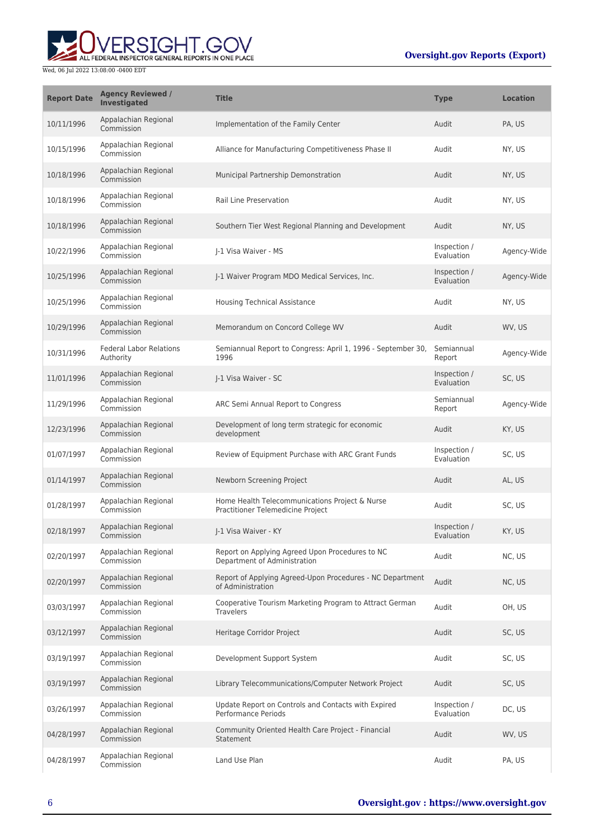

| <b>Report Date</b> | <b>Agency Reviewed /</b><br><b>Investigated</b> | <b>Title</b>                                                                        | <b>Type</b>                | <b>Location</b> |
|--------------------|-------------------------------------------------|-------------------------------------------------------------------------------------|----------------------------|-----------------|
| 10/11/1996         | Appalachian Regional<br>Commission              | Implementation of the Family Center                                                 | Audit                      | PA, US          |
| 10/15/1996         | Appalachian Regional<br>Commission              | Alliance for Manufacturing Competitiveness Phase II                                 | Audit                      | NY, US          |
| 10/18/1996         | Appalachian Regional<br>Commission              | Municipal Partnership Demonstration                                                 | Audit                      | NY, US          |
| 10/18/1996         | Appalachian Regional<br>Commission              | Rail Line Preservation                                                              | Audit                      | NY, US          |
| 10/18/1996         | Appalachian Regional<br>Commission              | Southern Tier West Regional Planning and Development                                | Audit                      | NY, US          |
| 10/22/1996         | Appalachian Regional<br>Commission              | J-1 Visa Waiver - MS                                                                | Inspection /<br>Evaluation | Agency-Wide     |
| 10/25/1996         | Appalachian Regional<br>Commission              | J-1 Waiver Program MDO Medical Services, Inc.                                       | Inspection /<br>Evaluation | Agency-Wide     |
| 10/25/1996         | Appalachian Regional<br>Commission              | <b>Housing Technical Assistance</b>                                                 | Audit                      | NY, US          |
| 10/29/1996         | Appalachian Regional<br>Commission              | Memorandum on Concord College WV                                                    | Audit                      | WV, US          |
| 10/31/1996         | <b>Federal Labor Relations</b><br>Authority     | Semiannual Report to Congress: April 1, 1996 - September 30,<br>1996                | Semiannual<br>Report       | Agency-Wide     |
| 11/01/1996         | Appalachian Regional<br>Commission              | J-1 Visa Waiver - SC                                                                | Inspection /<br>Evaluation | SC, US          |
| 11/29/1996         | Appalachian Regional<br>Commission              | ARC Semi Annual Report to Congress                                                  | Semiannual<br>Report       | Agency-Wide     |
| 12/23/1996         | Appalachian Regional<br>Commission              | Development of long term strategic for economic<br>development                      | Audit                      | KY, US          |
| 01/07/1997         | Appalachian Regional<br>Commission              | Review of Equipment Purchase with ARC Grant Funds                                   | Inspection /<br>Evaluation | SC, US          |
| 01/14/1997         | Appalachian Regional<br>Commission              | Newborn Screening Project                                                           | Audit                      | AL, US          |
| 01/28/1997         | Appalachian Regional<br>Commission              | Home Health Telecommunications Project & Nurse<br>Practitioner Telemedicine Project | Audit                      | SC, US          |
| 02/18/1997         | Appalachian Regional<br>Commission              | J-1 Visa Waiver - KY                                                                | Inspection /<br>Evaluation | KY, US          |
| 02/20/1997         | Appalachian Regional<br>Commission              | Report on Applying Agreed Upon Procedures to NC<br>Department of Administration     | Audit                      | NC, US          |
| 02/20/1997         | Appalachian Regional<br>Commission              | Report of Applying Agreed-Upon Procedures - NC Department<br>of Administration      | Audit                      | NC, US          |
| 03/03/1997         | Appalachian Regional<br>Commission              | Cooperative Tourism Marketing Program to Attract German<br><b>Travelers</b>         | Audit                      | OH, US          |
| 03/12/1997         | Appalachian Regional<br>Commission              | Heritage Corridor Project                                                           | Audit                      | SC, US          |
| 03/19/1997         | Appalachian Regional<br>Commission              | Development Support System                                                          | Audit                      | SC, US          |
| 03/19/1997         | Appalachian Regional<br>Commission              | Library Telecommunications/Computer Network Project                                 | Audit                      | SC, US          |
| 03/26/1997         | Appalachian Regional<br>Commission              | Update Report on Controls and Contacts with Expired<br>Performance Periods          | Inspection /<br>Evaluation | DC, US          |
| 04/28/1997         | Appalachian Regional<br>Commission              | Community Oriented Health Care Project - Financial<br>Statement                     | Audit                      | WV, US          |
| 04/28/1997         | Appalachian Regional<br>Commission              | Land Use Plan                                                                       | Audit                      | PA, US          |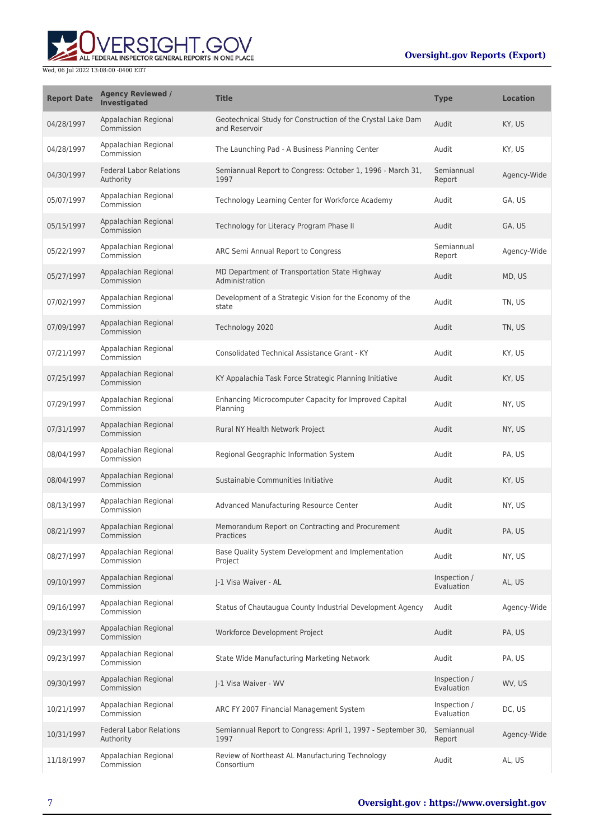# ALL FEDERAL INSPECTOR GENERAL REPORTS IN ONE PLACE Wed, 06 Jul 2022 13:08:00 -0400 EDT

| <b>Report Date</b> | <b>Agency Reviewed /</b><br><b>Investigated</b> | <b>Title</b>                                                                 | <b>Type</b>                | <b>Location</b> |
|--------------------|-------------------------------------------------|------------------------------------------------------------------------------|----------------------------|-----------------|
| 04/28/1997         | Appalachian Regional<br>Commission              | Geotechnical Study for Construction of the Crystal Lake Dam<br>and Reservoir | Audit                      | KY, US          |
| 04/28/1997         | Appalachian Regional<br>Commission              | The Launching Pad - A Business Planning Center                               | Audit                      | KY, US          |
| 04/30/1997         | <b>Federal Labor Relations</b><br>Authority     | Semiannual Report to Congress: October 1, 1996 - March 31,<br>1997           | Semiannual<br>Report       | Agency-Wide     |
| 05/07/1997         | Appalachian Regional<br>Commission              | Technology Learning Center for Workforce Academy                             | Audit                      | GA, US          |
| 05/15/1997         | Appalachian Regional<br>Commission              | Technology for Literacy Program Phase II                                     | Audit                      | GA, US          |
| 05/22/1997         | Appalachian Regional<br>Commission              | ARC Semi Annual Report to Congress                                           | Semiannual<br>Report       | Agency-Wide     |
| 05/27/1997         | Appalachian Regional<br>Commission              | MD Department of Transportation State Highway<br>Administration              | Audit                      | MD, US          |
| 07/02/1997         | Appalachian Regional<br>Commission              | Development of a Strategic Vision for the Economy of the<br>state            | Audit                      | TN, US          |
| 07/09/1997         | Appalachian Regional<br>Commission              | Technology 2020                                                              | Audit                      | TN, US          |
| 07/21/1997         | Appalachian Regional<br>Commission              | Consolidated Technical Assistance Grant - KY                                 | Audit                      | KY, US          |
| 07/25/1997         | Appalachian Regional<br>Commission              | KY Appalachia Task Force Strategic Planning Initiative                       | Audit                      | KY, US          |
| 07/29/1997         | Appalachian Regional<br>Commission              | Enhancing Microcomputer Capacity for Improved Capital<br>Planning            | Audit                      | NY, US          |
| 07/31/1997         | Appalachian Regional<br>Commission              | Rural NY Health Network Project                                              | Audit                      | NY, US          |
| 08/04/1997         | Appalachian Regional<br>Commission              | Regional Geographic Information System                                       | Audit                      | PA, US          |
| 08/04/1997         | Appalachian Regional<br>Commission              | Sustainable Communities Initiative                                           | Audit                      | KY, US          |
| 08/13/1997         | Appalachian Regional<br>Commission              | Advanced Manufacturing Resource Center                                       | Audit                      | NY, US          |
| 08/21/1997         | Appalachian Regional<br>Commission              | Memorandum Report on Contracting and Procurement<br>Practices                | Audit                      | PA, US          |
| 08/27/1997         | Appalachian Regional<br>Commission              | Base Quality System Development and Implementation<br>Project                | Audit                      | NY, US          |
| 09/10/1997         | Appalachian Regional<br>Commission              | J-1 Visa Waiver - AL                                                         | Inspection /<br>Evaluation | AL, US          |
| 09/16/1997         | Appalachian Regional<br>Commission              | Status of Chautaugua County Industrial Development Agency                    | Audit                      | Agency-Wide     |
| 09/23/1997         | Appalachian Regional<br>Commission              | Workforce Development Project                                                | Audit                      | PA, US          |
| 09/23/1997         | Appalachian Regional<br>Commission              | State Wide Manufacturing Marketing Network                                   | Audit                      | PA, US          |
| 09/30/1997         | Appalachian Regional<br>Commission              | J-1 Visa Waiver - WV                                                         | Inspection /<br>Evaluation | WV, US          |
| 10/21/1997         | Appalachian Regional<br>Commission              | ARC FY 2007 Financial Management System                                      | Inspection /<br>Evaluation | DC, US          |
| 10/31/1997         | <b>Federal Labor Relations</b><br>Authority     | Semiannual Report to Congress: April 1, 1997 - September 30,<br>1997         | Semiannual<br>Report       | Agency-Wide     |
| 11/18/1997         | Appalachian Regional<br>Commission              | Review of Northeast AL Manufacturing Technology<br>Consortium                | Audit                      | AL, US          |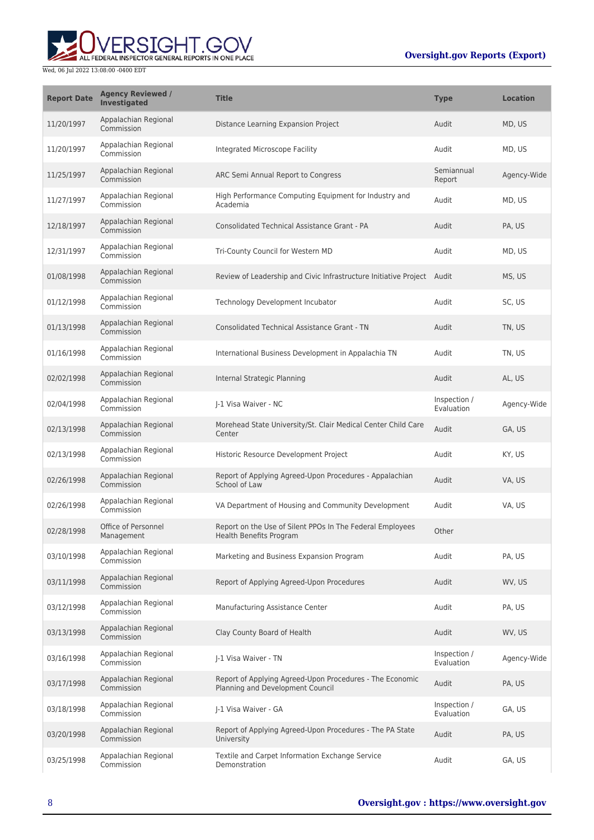

| <b>Report Date</b> | <b>Agency Reviewed /</b><br><b>Investigated</b> | <b>Title</b>                                                                                 | <b>Type</b>                | <b>Location</b> |
|--------------------|-------------------------------------------------|----------------------------------------------------------------------------------------------|----------------------------|-----------------|
| 11/20/1997         | Appalachian Regional<br>Commission              | Distance Learning Expansion Project                                                          | Audit                      | MD, US          |
| 11/20/1997         | Appalachian Regional<br>Commission              | Integrated Microscope Facility                                                               | Audit                      | MD, US          |
| 11/25/1997         | Appalachian Regional<br>Commission              | ARC Semi Annual Report to Congress                                                           | Semiannual<br>Report       | Agency-Wide     |
| 11/27/1997         | Appalachian Regional<br>Commission              | High Performance Computing Equipment for Industry and<br>Academia                            | Audit                      | MD, US          |
| 12/18/1997         | Appalachian Regional<br>Commission              | Consolidated Technical Assistance Grant - PA                                                 | Audit                      | PA, US          |
| 12/31/1997         | Appalachian Regional<br>Commission              | Tri-County Council for Western MD                                                            | Audit                      | MD, US          |
| 01/08/1998         | Appalachian Regional<br>Commission              | Review of Leadership and Civic Infrastructure Initiative Project Audit                       |                            | MS, US          |
| 01/12/1998         | Appalachian Regional<br>Commission              | Technology Development Incubator                                                             | Audit                      | SC, US          |
| 01/13/1998         | Appalachian Regional<br>Commission              | <b>Consolidated Technical Assistance Grant - TN</b>                                          | Audit                      | TN, US          |
| 01/16/1998         | Appalachian Regional<br>Commission              | International Business Development in Appalachia TN                                          | Audit                      | TN, US          |
| 02/02/1998         | Appalachian Regional<br>Commission              | Internal Strategic Planning                                                                  | Audit                      | AL, US          |
| 02/04/1998         | Appalachian Regional<br>Commission              | J-1 Visa Waiver - NC                                                                         | Inspection /<br>Evaluation | Agency-Wide     |
| 02/13/1998         | Appalachian Regional<br>Commission              | Morehead State University/St. Clair Medical Center Child Care<br>Center                      | Audit                      | GA, US          |
| 02/13/1998         | Appalachian Regional<br>Commission              | Historic Resource Development Project                                                        | Audit                      | KY, US          |
| 02/26/1998         | Appalachian Regional<br>Commission              | Report of Applying Agreed-Upon Procedures - Appalachian<br>School of Law                     | Audit                      | VA, US          |
| 02/26/1998         | Appalachian Regional<br>Commission              | VA Department of Housing and Community Development                                           | Audit                      | VA, US          |
| 02/28/1998         | Office of Personnel<br>Management               | Report on the Use of Silent PPOs In The Federal Employees<br>Health Benefits Program         | Other                      |                 |
| 03/10/1998         | Appalachian Regional<br>Commission              | Marketing and Business Expansion Program                                                     | Audit                      | PA. US          |
| 03/11/1998         | Appalachian Regional<br>Commission              | Report of Applying Agreed-Upon Procedures                                                    | Audit                      | WV, US          |
| 03/12/1998         | Appalachian Regional<br>Commission              | Manufacturing Assistance Center                                                              | Audit                      | PA, US          |
| 03/13/1998         | Appalachian Regional<br>Commission              | Clay County Board of Health                                                                  | Audit                      | WV, US          |
| 03/16/1998         | Appalachian Regional<br>Commission              | J-1 Visa Waiver - TN                                                                         | Inspection /<br>Evaluation | Agency-Wide     |
| 03/17/1998         | Appalachian Regional<br>Commission              | Report of Applying Agreed-Upon Procedures - The Economic<br>Planning and Development Council | Audit                      | PA, US          |
| 03/18/1998         | Appalachian Regional<br>Commission              | J-1 Visa Waiver - GA                                                                         | Inspection /<br>Evaluation | GA, US          |
| 03/20/1998         | Appalachian Regional<br>Commission              | Report of Applying Agreed-Upon Procedures - The PA State<br>University                       | Audit                      | PA, US          |
| 03/25/1998         | Appalachian Regional<br>Commission              | Textile and Carpet Information Exchange Service<br>Demonstration                             | Audit                      | GA, US          |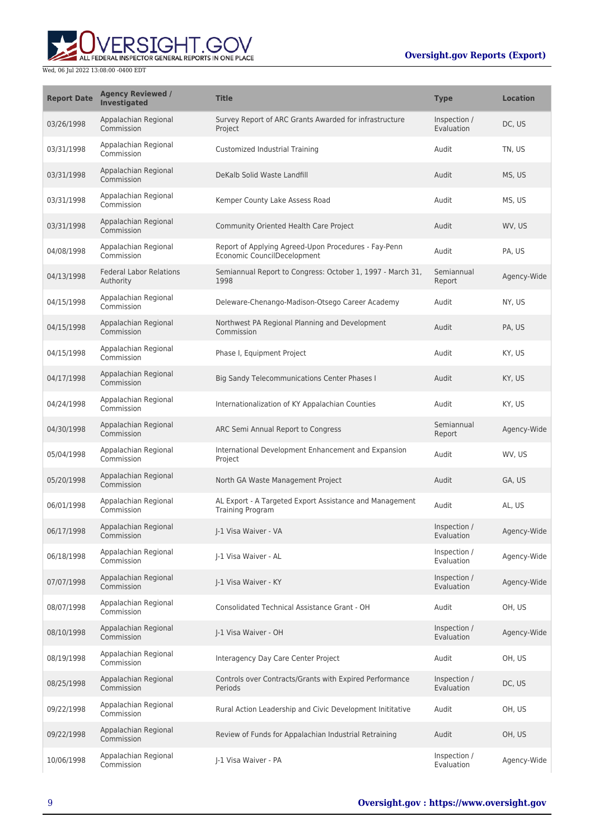

| <b>Report Date</b> | <b>Agency Reviewed /</b><br><b>Investigated</b> | <b>Title</b>                                                                        | <b>Type</b>                | <b>Location</b> |
|--------------------|-------------------------------------------------|-------------------------------------------------------------------------------------|----------------------------|-----------------|
| 03/26/1998         | Appalachian Regional<br>Commission              | Survey Report of ARC Grants Awarded for infrastructure<br>Project                   | Inspection /<br>Evaluation | DC, US          |
| 03/31/1998         | Appalachian Regional<br>Commission              | Customized Industrial Training                                                      | Audit                      | TN, US          |
| 03/31/1998         | Appalachian Regional<br>Commission              | DeKalb Solid Waste Landfill                                                         | Audit                      | MS, US          |
| 03/31/1998         | Appalachian Regional<br>Commission              | Kemper County Lake Assess Road                                                      | Audit                      | MS, US          |
| 03/31/1998         | Appalachian Regional<br>Commission              | Community Oriented Health Care Project                                              | Audit                      | WV, US          |
| 04/08/1998         | Appalachian Regional<br>Commission              | Report of Applying Agreed-Upon Procedures - Fay-Penn<br>Economic CouncilDecelopment | Audit                      | PA, US          |
| 04/13/1998         | <b>Federal Labor Relations</b><br>Authority     | Semiannual Report to Congress: October 1, 1997 - March 31,<br>1998                  | Semiannual<br>Report       | Agency-Wide     |
| 04/15/1998         | Appalachian Regional<br>Commission              | Deleware-Chenango-Madison-Otsego Career Academy                                     | Audit                      | NY, US          |
| 04/15/1998         | Appalachian Regional<br>Commission              | Northwest PA Regional Planning and Development<br>Commission                        | Audit                      | PA, US          |
| 04/15/1998         | Appalachian Regional<br>Commission              | Phase I, Equipment Project                                                          | Audit                      | KY, US          |
| 04/17/1998         | Appalachian Regional<br>Commission              | <b>Big Sandy Telecommunications Center Phases I</b>                                 | Audit                      | KY, US          |
| 04/24/1998         | Appalachian Regional<br>Commission              | Internationalization of KY Appalachian Counties                                     | Audit                      | KY, US          |
| 04/30/1998         | Appalachian Regional<br>Commission              | ARC Semi Annual Report to Congress                                                  | Semiannual<br>Report       | Agency-Wide     |
| 05/04/1998         | Appalachian Regional<br>Commission              | International Development Enhancement and Expansion<br>Project                      | Audit                      | WV, US          |
| 05/20/1998         | Appalachian Regional<br>Commission              | North GA Waste Management Project                                                   | Audit                      | GA, US          |
| 06/01/1998         | Appalachian Regional<br>Commission              | AL Export - A Targeted Export Assistance and Management<br><b>Training Program</b>  | Audit                      | AL, US          |
| 06/17/1998         | Appalachian Regional<br>Commission              | I-1 Visa Waiver - VA                                                                | Inspection /<br>Evaluation | Agency-Wide     |
| 06/18/1998         | Appalachian Regional<br>Commission              | J-1 Visa Waiver - AL                                                                | Inspection /<br>Evaluation | Agency-Wide     |
| 07/07/1998         | Appalachian Regional<br>Commission              | J-1 Visa Waiver - KY                                                                | Inspection /<br>Evaluation | Agency-Wide     |
| 08/07/1998         | Appalachian Regional<br>Commission              | Consolidated Technical Assistance Grant - OH                                        | Audit                      | OH, US          |
| 08/10/1998         | Appalachian Regional<br>Commission              | J-1 Visa Waiver - OH                                                                | Inspection /<br>Evaluation | Agency-Wide     |
| 08/19/1998         | Appalachian Regional<br>Commission              | Interagency Day Care Center Project                                                 | Audit                      | OH, US          |
| 08/25/1998         | Appalachian Regional<br>Commission              | Controls over Contracts/Grants with Expired Performance<br>Periods                  | Inspection /<br>Evaluation | DC, US          |
| 09/22/1998         | Appalachian Regional<br>Commission              | Rural Action Leadership and Civic Development Inititative                           | Audit                      | OH, US          |
| 09/22/1998         | Appalachian Regional<br>Commission              | Review of Funds for Appalachian Industrial Retraining                               | Audit                      | OH, US          |
| 10/06/1998         | Appalachian Regional<br>Commission              | J-1 Visa Waiver - PA                                                                | Inspection /<br>Evaluation | Agency-Wide     |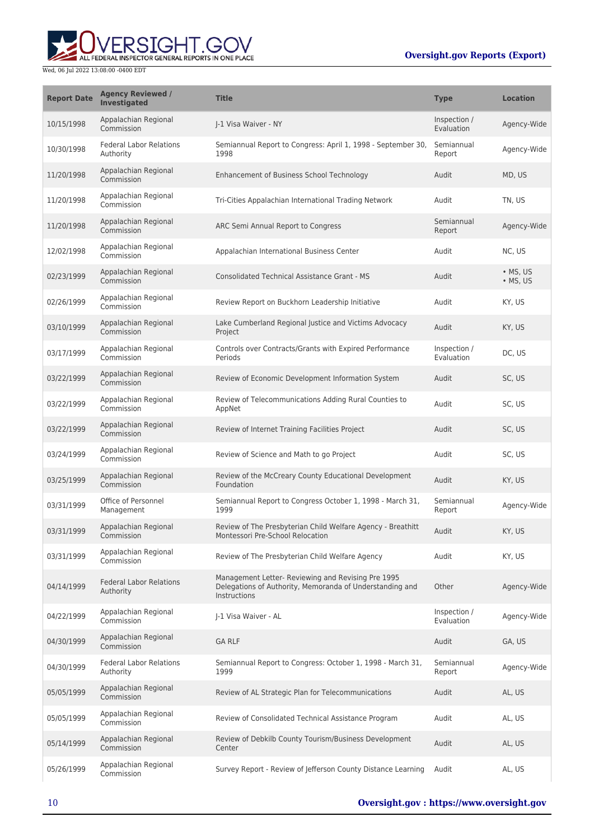# UVERSIGHT.GOV

| <b>Report Date</b> | <b>Agency Reviewed /</b><br><b>Investigated</b> | <b>Title</b>                                                                                                                   | <b>Type</b>                | <b>Location</b>              |
|--------------------|-------------------------------------------------|--------------------------------------------------------------------------------------------------------------------------------|----------------------------|------------------------------|
| 10/15/1998         | Appalachian Regional<br>Commission              | I-1 Visa Waiver - NY                                                                                                           | Inspection /<br>Evaluation | Agency-Wide                  |
| 10/30/1998         | <b>Federal Labor Relations</b><br>Authority     | Semiannual Report to Congress: April 1, 1998 - September 30,<br>1998                                                           | Semiannual<br>Report       | Agency-Wide                  |
| 11/20/1998         | Appalachian Regional<br>Commission              | Enhancement of Business School Technology                                                                                      | Audit                      | MD, US                       |
| 11/20/1998         | Appalachian Regional<br>Commission              | Tri-Cities Appalachian International Trading Network                                                                           | Audit                      | TN, US                       |
| 11/20/1998         | Appalachian Regional<br>Commission              | ARC Semi Annual Report to Congress                                                                                             | Semiannual<br>Report       | Agency-Wide                  |
| 12/02/1998         | Appalachian Regional<br>Commission              | Appalachian International Business Center                                                                                      | Audit                      | NC, US                       |
| 02/23/1999         | Appalachian Regional<br>Commission              | <b>Consolidated Technical Assistance Grant - MS</b>                                                                            | Audit                      | $\bullet$ MS, US<br>• MS, US |
| 02/26/1999         | Appalachian Regional<br>Commission              | Review Report on Buckhorn Leadership Initiative                                                                                | Audit                      | KY, US                       |
| 03/10/1999         | Appalachian Regional<br>Commission              | Lake Cumberland Regional Justice and Victims Advocacy<br>Project                                                               | Audit                      | KY, US                       |
| 03/17/1999         | Appalachian Regional<br>Commission              | Controls over Contracts/Grants with Expired Performance<br>Periods                                                             | Inspection /<br>Evaluation | DC, US                       |
| 03/22/1999         | Appalachian Regional<br>Commission              | Review of Economic Development Information System                                                                              | Audit                      | SC, US                       |
| 03/22/1999         | Appalachian Regional<br>Commission              | Review of Telecommunications Adding Rural Counties to<br>AppNet                                                                | Audit                      | SC, US                       |
| 03/22/1999         | Appalachian Regional<br>Commission              | Review of Internet Training Facilities Project                                                                                 | Audit                      | SC, US                       |
| 03/24/1999         | Appalachian Regional<br>Commission              | Review of Science and Math to go Project                                                                                       | Audit                      | SC, US                       |
| 03/25/1999         | Appalachian Regional<br>Commission              | Review of the McCreary County Educational Development<br>Foundation                                                            | Audit                      | KY, US                       |
| 03/31/1999         | Office of Personnel<br>Management               | Semiannual Report to Congress October 1, 1998 - March 31,<br>1999                                                              | Semiannual<br>Report       | Agency-Wide                  |
| 03/31/1999         | Appalachian Regional<br>Commission              | Review of The Presbyterian Child Welfare Agency - Breathitt<br>Montessori Pre-School Relocation                                | Audit                      | KY, US                       |
| 03/31/1999         | Appalachian Regional<br>Commission              | Review of The Presbyterian Child Welfare Agency                                                                                | Audit                      | KY, US                       |
| 04/14/1999         | <b>Federal Labor Relations</b><br>Authority     | Management Letter- Reviewing and Revising Pre 1995<br>Delegations of Authority, Memoranda of Understanding and<br>Instructions | Other                      | Agency-Wide                  |
| 04/22/1999         | Appalachian Regional<br>Commission              | J-1 Visa Waiver - AL                                                                                                           | Inspection /<br>Evaluation | Agency-Wide                  |
| 04/30/1999         | Appalachian Regional<br>Commission              | <b>GA RLF</b>                                                                                                                  | Audit                      | GA, US                       |
| 04/30/1999         | <b>Federal Labor Relations</b><br>Authority     | Semiannual Report to Congress: October 1, 1998 - March 31,<br>1999                                                             | Semiannual<br>Report       | Agency-Wide                  |
| 05/05/1999         | Appalachian Regional<br>Commission              | Review of AL Strategic Plan for Telecommunications                                                                             | Audit                      | AL, US                       |
| 05/05/1999         | Appalachian Regional<br>Commission              | Review of Consolidated Technical Assistance Program                                                                            | Audit                      | AL, US                       |
| 05/14/1999         | Appalachian Regional<br>Commission              | Review of Debkilb County Tourism/Business Development<br>Center                                                                | Audit                      | AL, US                       |
| 05/26/1999         | Appalachian Regional<br>Commission              | Survey Report - Review of Jefferson County Distance Learning                                                                   | Audit                      | AL, US                       |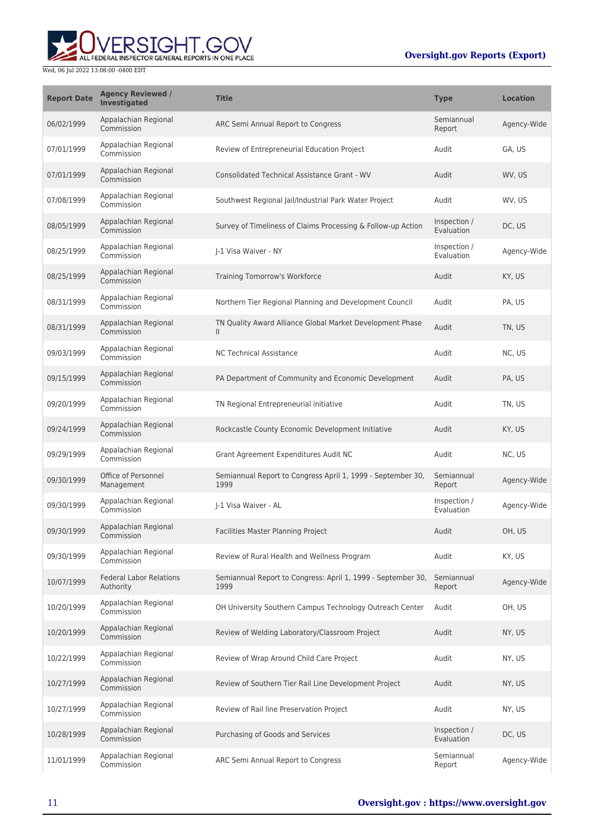

| <b>Report Date</b> | <b>Agency Reviewed /</b><br>Investigated    | <b>Title</b>                                                              | <b>Type</b>                | <b>Location</b> |
|--------------------|---------------------------------------------|---------------------------------------------------------------------------|----------------------------|-----------------|
| 06/02/1999         | Appalachian Regional<br>Commission          | ARC Semi Annual Report to Congress                                        | Semiannual<br>Report       | Agency-Wide     |
| 07/01/1999         | Appalachian Regional<br>Commission          | Review of Entrepreneurial Education Project                               | Audit                      | GA. US          |
| 07/01/1999         | Appalachian Regional<br>Commission          | <b>Consolidated Technical Assistance Grant - WV</b>                       | Audit                      | WV, US          |
| 07/08/1999         | Appalachian Regional<br>Commission          | Southwest Regional Jail/Industrial Park Water Project                     | Audit                      | WV. US          |
| 08/05/1999         | Appalachian Regional<br>Commission          | Survey of Timeliness of Claims Processing & Follow-up Action              | Inspection /<br>Evaluation | DC, US          |
| 08/25/1999         | Appalachian Regional<br>Commission          | I-1 Visa Waiver - NY                                                      | Inspection /<br>Evaluation | Agency-Wide     |
| 08/25/1999         | Appalachian Regional<br>Commission          | Training Tomorrow's Workforce                                             | Audit                      | KY, US          |
| 08/31/1999         | Appalachian Regional<br>Commission          | Northern Tier Regional Planning and Development Council                   | Audit                      | PA, US          |
| 08/31/1999         | Appalachian Regional<br>Commission          | TN Quality Award Alliance Global Market Development Phase<br>$\mathbf{H}$ | Audit                      | TN, US          |
| 09/03/1999         | Appalachian Regional<br>Commission          | <b>NC Technical Assistance</b>                                            | Audit                      | NC, US          |
| 09/15/1999         | Appalachian Regional<br>Commission          | PA Department of Community and Economic Development                       | Audit                      | PA, US          |
| 09/20/1999         | Appalachian Regional<br>Commission          | TN Regional Entrepreneurial initiative                                    | Audit                      | TN, US          |
| 09/24/1999         | Appalachian Regional<br>Commission          | Rockcastle County Economic Development Initiative                         | Audit                      | KY, US          |
| 09/29/1999         | Appalachian Regional<br>Commission          | Grant Agreement Expenditures Audit NC                                     | Audit                      | NC, US          |
| 09/30/1999         | Office of Personnel<br>Management           | Semiannual Report to Congress April 1, 1999 - September 30,<br>1999       | Semiannual<br>Report       | Agency-Wide     |
| 09/30/1999         | Appalachian Regional<br>Commission          | I-1 Visa Waiver - AL                                                      | Inspection /<br>Evaluation | Agency-Wide     |
| 09/30/1999         | Appalachian Regional<br>Commission          | Facilities Master Planning Project                                        | Audit                      | OH, US          |
| 09/30/1999         | Appalachian Regional<br>Commission          | Review of Rural Health and Wellness Program                               | Audit                      | KY, US          |
| 10/07/1999         | <b>Federal Labor Relations</b><br>Authority | Semiannual Report to Congress: April 1, 1999 - September 30,<br>1999      | Semiannual<br>Report       | Agency-Wide     |
| 10/20/1999         | Appalachian Regional<br>Commission          | OH University Southern Campus Technology Outreach Center                  | Audit                      | OH, US          |
| 10/20/1999         | Appalachian Regional<br>Commission          | Review of Welding Laboratory/Classroom Project                            | Audit                      | NY, US          |
| 10/22/1999         | Appalachian Regional<br>Commission          | Review of Wrap Around Child Care Project                                  | Audit                      | NY, US          |
| 10/27/1999         | Appalachian Regional<br>Commission          | Review of Southern Tier Rail Line Development Project                     | Audit                      | NY, US          |
| 10/27/1999         | Appalachian Regional<br>Commission          | Review of Rail line Preservation Project                                  | Audit                      | NY, US          |
| 10/28/1999         | Appalachian Regional<br>Commission          | Purchasing of Goods and Services                                          | Inspection /<br>Evaluation | DC, US          |
| 11/01/1999         | Appalachian Regional<br>Commission          | ARC Semi Annual Report to Congress                                        | Semiannual<br>Report       | Agency-Wide     |